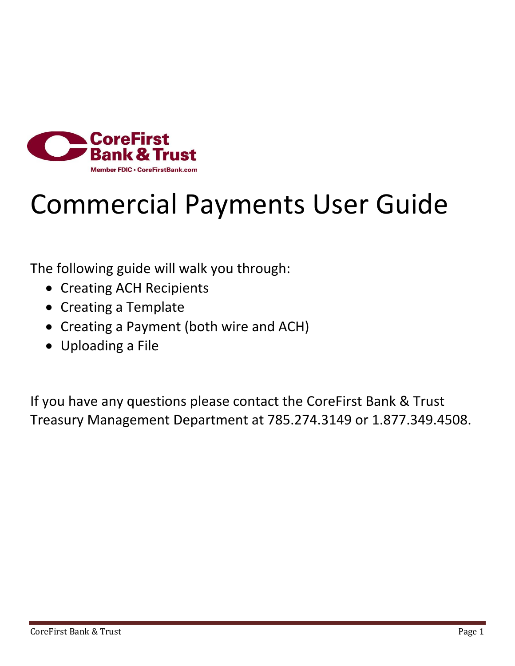

## Commercial Payments User Guide

The following guide will walk you through:

- Creating ACH Recipients
- Creating a Template
- Creating a Payment (both wire and ACH)
- Uploading a File

If you have any questions please contact the CoreFirst Bank & Trust Treasury Management Department at 785.274.3149 or 1.877.349.4508.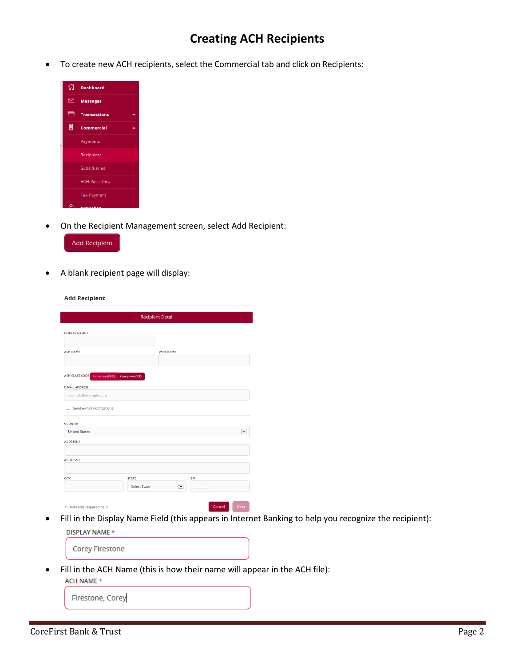## **Creating ACH Recipients**

To create new ACH recipients, select the Commercial tab and click on Recipients:

| 你                       | <b>Dashboard</b>     |
|-------------------------|----------------------|
| $\overline{\mathbb{Z}}$ | <b>Messages</b>      |
| $\Box$                  | <b>Transactions</b>  |
| 凰                       | Commercial           |
|                         | Payments             |
|                         | Recipients           |
|                         | <b>Subsidiaries</b>  |
|                         | <b>ACH Pass-Thru</b> |
|                         | <b>Tax Payment</b>   |
|                         |                      |

On the Recipient Management screen, select Add Recipient:



A blank recipient page will display:

**Add Recipient** 

|                                        | <b>Recipient Detail</b>  |                      |
|----------------------------------------|--------------------------|----------------------|
| DISPLAY NAME *                         |                          |                      |
| <b>ACH NAME</b>                        | <b>WIRE NAME</b>         |                      |
| <b>ACH CLASS CODE</b> Individual (PPD) | Company (CCD)            |                      |
| <b>E-MAIL ADDRESS</b>                  |                          |                      |
| example@example.com                    |                          |                      |
| Send e-mail notifications<br>п         |                          |                      |
| <b>COUNTRY</b>                         |                          |                      |
| <b>United States</b>                   |                          | $\ddot{\phantom{0}}$ |
| <b>ADDRESS 1</b>                       |                          |                      |
| <b>ADDRESS 2</b>                       |                          |                      |
| <b>CITY</b>                            | <b>STATE</b><br>ZIP      |                      |
|                                        | <b>Select State</b><br>× |                      |
| * - Indicates required field           | Cancel                   | <b>Next</b>          |

 Fill in the Display Name Field (this appears in Internet Banking to help you recognize the recipient): **DISPLAY NAME\*** 

| <b>Corey Firestone</b> |  |
|------------------------|--|
|                        |  |

Fill in the ACH Name (this is how their name will appear in the ACH file):

ACH NAME \*

Firestone, Corey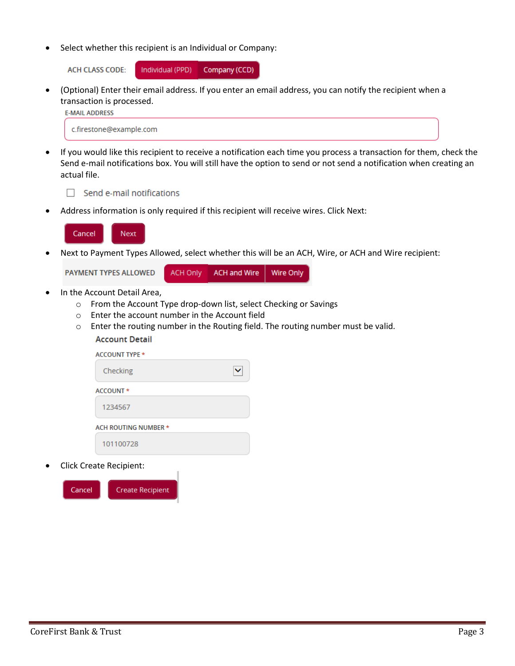Select whether this recipient is an Individual or Company:

**ACH CLASS CODE:** 

Individual (PPD) Company (CCD)

 (Optional) Enter their email address. If you enter an email address, you can notify the recipient when a transaction is processed.

**E-MAIL ADDRESS** 

c.firestone@example.com

 If you would like this recipient to receive a notification each time you process a transaction for them, check the Send e-mail notifications box. You will still have the option to send or not send a notification when creating an actual file.

 $\Box$  Send e-mail notifications

Address information is only required if this recipient will receive wires. Click Next:



Next to Payment Types Allowed, select whether this will be an ACH, Wire, or ACH and Wire recipient:

PAYMENT TYPES ALLOWED **ACH Only ACH and Wire Wire Only** 

- In the Account Detail Area,
	- o From the Account Type drop-down list, select Checking or Savings
	- o Enter the account number in the Account field
	- $\circ$  Enter the routing number in the Routing field. The routing number must be valid. **Account Detail**

| <b>ACCOUNT TYPE *</b>       |  |
|-----------------------------|--|
| Checking                    |  |
| ACCOUNT *                   |  |
| 1234567                     |  |
| <b>ACH ROUTING NUMBER *</b> |  |
| 101100728                   |  |

Click Create Recipient:

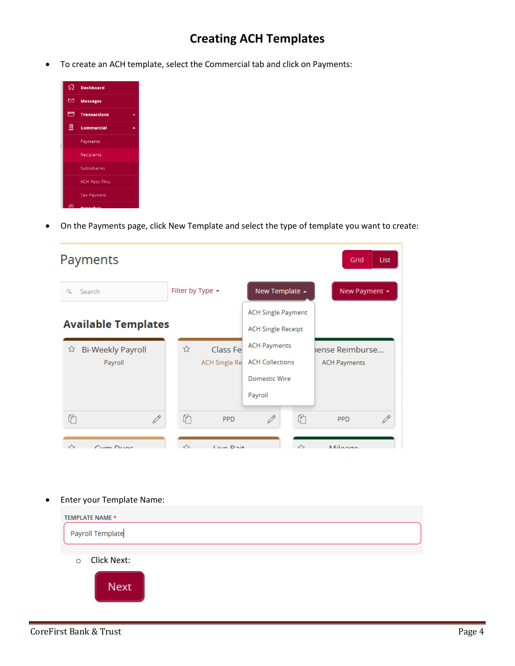## **Creating ACH Templates**

To create an ACH template, select the Commercial tab and click on Payments:

| 깑                | <b>Dashboard</b>     |  |
|------------------|----------------------|--|
| $\triangleright$ | <b>Messages</b>      |  |
| $\blacksquare$   | <b>Transactions</b>  |  |
| 圓                | <b>Commercial</b>    |  |
|                  | Payments             |  |
|                  | Recipients           |  |
|                  | <b>Subsidiaries</b>  |  |
|                  | <b>ACH Pass-Thru</b> |  |
|                  | <b>Tax Payment</b>   |  |
| ে                |                      |  |

On the Payments page, click New Template and select the type of template you want to create:

| Payments                                 |                                       |                                               | Grid<br>List                          |
|------------------------------------------|---------------------------------------|-----------------------------------------------|---------------------------------------|
| Search<br>Q                              | Filter by Type $\sim$                 | New Template ▲                                | New Payment +                         |
|                                          |                                       | <b>ACH Single Payment</b>                     |                                       |
| <b>Available Templates</b>               |                                       | <b>ACH Single Receipt</b>                     |                                       |
| <b>Bi-Weekly Payroll</b><br>☆<br>Payroll | ☆<br>Class Fe<br><b>ACH Single Re</b> | <b>ACH Payments</b><br><b>ACH Collections</b> | ense Reimburse<br><b>ACH Payments</b> |
|                                          |                                       | Domestic Wire<br>Payroll                      |                                       |
|                                          |                                       |                                               |                                       |
| ⋔<br>P                                   | ⋔<br><b>PPD</b>                       | ⋔                                             | <b>PPD</b>                            |
| ᄉ<br>$Cum$ $Duse$                        | ᄉ<br>Live Dait                        | ᄉ                                             | Milaxa                                |

Enter your Template Name:

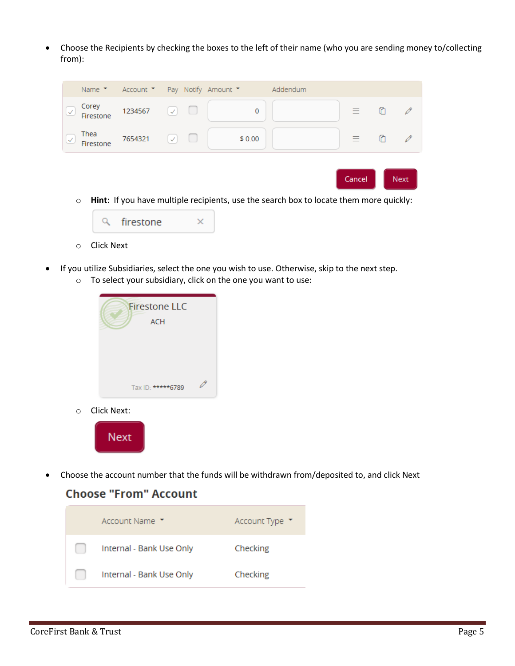Choose the Recipients by checking the boxes to the left of their name (who you are sending money to/collecting from):

| Thea<br>IV.<br>Firestone                       | 7654321                                             | $\prec$      |  | \$0.00 |          | 三 | ⊙                   |  |
|------------------------------------------------|-----------------------------------------------------|--------------|--|--------|----------|---|---------------------|--|
|                                                |                                                     |              |  |        |          |   |                     |  |
| Corey<br>$\overline{\mathcal{L}}$<br>Firestone | 1234567                                             | $\checkmark$ |  | 0      |          |   | $\equiv$ 0 $\theta$ |  |
|                                                | Name $\tau$ Account $\tau$ Pay Notify Amount $\tau$ |              |  |        | Addendum |   |                     |  |



- o Click Next
- If you utilize Subsidiaries, select the one you wish to use. Otherwise, skip to the next step.
	- o To select your subsidiary, click on the one you want to use:



o Click Next:



Choose the account number that the funds will be withdrawn from/deposited to, and click Next

## **Choose "From" Account**

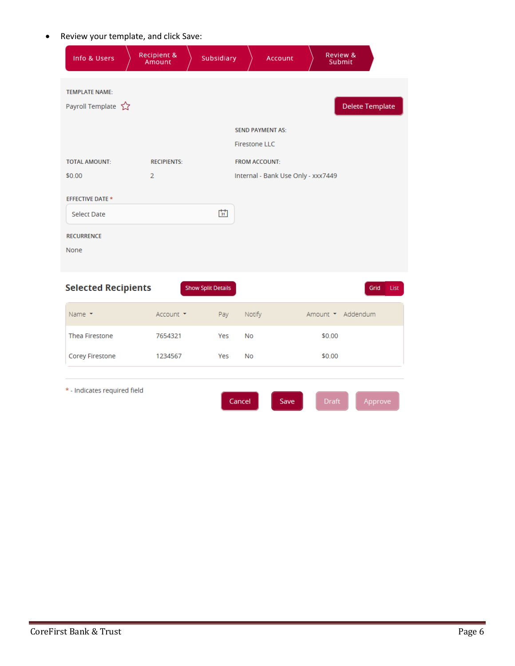Review your template, and click Save:

| Info & Users                                                               | Recipient &<br>Amount | Subsidiary                |                                                                         | <b>Account</b>                     | Review &<br>Submit |                        |
|----------------------------------------------------------------------------|-----------------------|---------------------------|-------------------------------------------------------------------------|------------------------------------|--------------------|------------------------|
| <b>TEMPLATE NAME:</b><br>Payroll Template 2                                |                       |                           |                                                                         |                                    |                    | <b>Delete Template</b> |
| <b>TOTAL AMOUNT:</b>                                                       | <b>RECIPIENTS:</b>    |                           | <b>SEND PAYMENT AS:</b><br><b>Firestone LLC</b><br><b>FROM ACCOUNT:</b> |                                    |                    |                        |
| \$0.00                                                                     | $\overline{2}$        |                           |                                                                         | Internal - Bank Use Only - xxx7449 |                    |                        |
| <b>EFFECTIVE DATE *</b><br><b>Select Date</b><br><b>RECURRENCE</b><br>None |                       | 睛                         |                                                                         |                                    |                    |                        |
| <b>Selected Recipients</b>                                                 |                       | <b>Show Split Details</b> |                                                                         |                                    |                    | Grid<br>List           |
| Name $\tau$                                                                | Account *             | Pay                       | Notify                                                                  |                                    | Amount * Addendum  |                        |
| <b>Thea Firestone</b>                                                      | 7654321               | Yes                       | No                                                                      |                                    | \$0.00             |                        |
| <b>Corey Firestone</b>                                                     | 1234567               | Yes                       | No                                                                      |                                    | \$0.00             |                        |
| * - Indicates required field                                               |                       |                           | Cancel                                                                  | Save                               | <b>Draft</b>       | Approve                |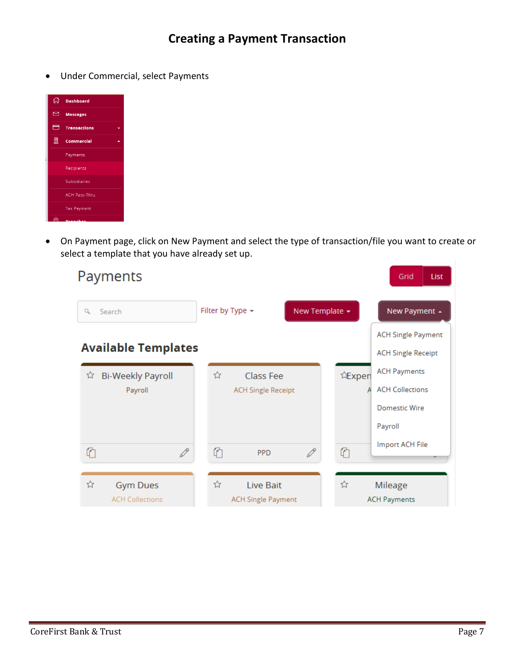Under Commercial, select Payments

|   | nd Dashboard         |  |
|---|----------------------|--|
|   |                      |  |
| ⊠ | <b>Messages</b>      |  |
|   | $\Box$ Transactions  |  |
| 鳯 | Commercial           |  |
|   | Payments             |  |
|   | Recipients           |  |
|   | <b>Subsidiaries</b>  |  |
|   | <b>ACH Pass-Thru</b> |  |
|   | <b>Tax Payment</b>   |  |
| ര | <b>Denmark</b>       |  |

 On Payment page, click on New Payment and select the type of transaction/file you want to create or select a template that you have already set up.

| Payments                                       |                                                        | Grid<br>List                                                                               |
|------------------------------------------------|--------------------------------------------------------|--------------------------------------------------------------------------------------------|
| Q<br>Search                                    | Filter by Type -                                       | New Template -<br>New Payment +                                                            |
| <b>Available Templates</b>                     | <b>ACH Single Payment</b><br><b>ACH Single Receipt</b> |                                                                                            |
| <b>Bi-Weekly Payroll</b><br>ਮੇ<br>Payroll      | ☆<br>Class Fee<br><b>ACH Single Receipt</b>            | <b>ACH Payments</b><br>让Expen<br><b>ACH Collections</b><br><b>Domestic Wire</b><br>Payroll |
| P<br>⋔                                         | $\mathscr{O}$<br>⋔<br><b>PPD</b>                       | Import ACH File<br>⋔                                                                       |
| ☆<br><b>Gym Dues</b><br><b>ACH Collections</b> | ☆<br>Live Bait<br><b>ACH Single Payment</b>            | ☆<br>Mileage<br><b>ACH Payments</b>                                                        |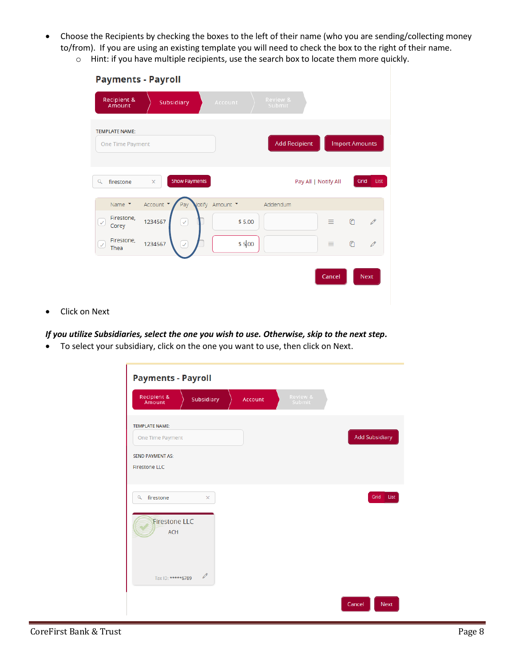- Choose the Recipients by checking the boxes to the left of their name (who you are sending/collecting money to/from). If you are using an existing template you will need to check the box to the right of their name.
	- o Hint: if you have multiple recipients, use the search box to locate them more quickly.

| <b>Payments - Payroll</b>                 |                                  |               |                      |                                 |
|-------------------------------------------|----------------------------------|---------------|----------------------|---------------------------------|
| Recipient &<br>Amount                     | Subsidiary                       | Account       | Review &<br>Submit   |                                 |
| <b>TEMPLATE NAME:</b><br>One Time Payment |                                  |               | <b>Add Recipient</b> | <b>Import Amounts</b>           |
| Q<br>firestone                            | <b>Show Payments</b><br>$\times$ |               | Pay All   Notify All | Grid<br>List                    |
| Name $\tau$                               | Account *<br>Pay                 | lotify Amount | Addendum             |                                 |
| Firestone,<br>$\checkmark$<br>Corey       | 1234567<br>$\checkmark$          | \$5.00        |                      | €<br>0<br>≡                     |
| Firestone,<br>$\checkmark$<br>Thea        | 1234567<br>$\checkmark$          | \$5.00        |                      | $\bullet$<br>$\mathscr{O}$<br>≡ |
|                                           |                                  |               |                      | Cancel<br><b>Next</b>           |

Click on Next

*If you utilize Subsidiaries, select the one you wish to use. Otherwise, skip to the next step.*

To select your subsidiary, click on the one you want to use, then click on Next.

| <b>Payments - Payroll</b>                                                                    |                |                    |                       |
|----------------------------------------------------------------------------------------------|----------------|--------------------|-----------------------|
| Recipient &<br>Amount<br>Subsidiary                                                          | <b>Account</b> | Review &<br>Submit |                       |
| <b>TEMPLATE NAME:</b><br>One Time Payment<br><b>SEND PAYMENT AS:</b><br><b>Firestone LLC</b> |                |                    | <b>Add Subsidiary</b> |
| firestone<br>$\alpha$<br>$\times$<br><b>Firestone LLC</b>                                    |                |                    | Grid<br>List          |
| <b>ACH</b><br>Tax ID: *****6789                                                              |                |                    |                       |
|                                                                                              |                |                    | Cancel<br><b>Next</b> |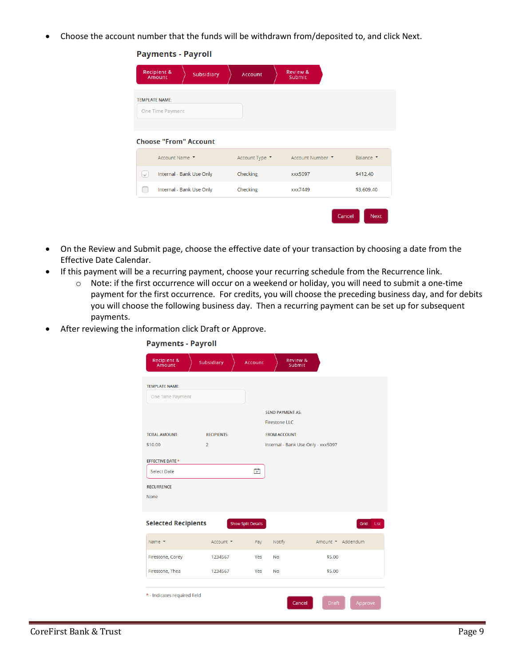Choose the account number that the funds will be withdrawn from/deposited to, and click Next.

|  |  | <b>Payments - Payroll</b> |  |
|--|--|---------------------------|--|
|  |  |                           |  |

|              | Recipient &<br>Amount                     | Subsidiary                   | <b>Account</b> | Review &<br>Submit              |        |             |
|--------------|-------------------------------------------|------------------------------|----------------|---------------------------------|--------|-------------|
|              | <b>TEMPLATE NAME:</b><br>One Time Payment |                              |                |                                 |        |             |
|              |                                           | <b>Choose "From" Account</b> |                |                                 |        |             |
|              | Account Name ▼                            |                              |                | Account Type ▼ Account Number ▼ |        | Balance T   |
| $\checkmark$ |                                           | Internal - Bank Use Only     | Checking       | xxx5097                         |        | \$412.40    |
| u.           |                                           | Internal - Bank Use Only     | Checking       | xxx7449                         |        | \$3,609.40  |
|              |                                           |                              |                |                                 | Cancel | <b>Next</b> |

- On the Review and Submit page, choose the effective date of your transaction by choosing a date from the Effective Date Calendar.
- If this payment will be a recurring payment, choose your recurring schedule from the Recurrence link.
	- o Note: if the first occurrence will occur on a weekend or holiday, you will need to submit a one-time payment for the first occurrence. For credits, you will choose the preceding business day, and for debits you will choose the following business day. Then a recurring payment can be set up for subsequent payments.
- After reviewing the information click Draft or Approve.

**Payments - Payroll** 

| Recipient &<br>Amount        | Subsidiary         | <b>Account</b>            | Review &<br>Submit      |                                    |                   |
|------------------------------|--------------------|---------------------------|-------------------------|------------------------------------|-------------------|
| <b>TEMPLATE NAME:</b>        |                    |                           |                         |                                    |                   |
| One Time Payment             |                    |                           |                         |                                    |                   |
|                              |                    |                           | <b>SEND PAYMENT AS:</b> |                                    |                   |
|                              |                    |                           | <b>Firestone LLC</b>    |                                    |                   |
| <b>TOTAL AMOUNT:</b>         | <b>RECIPIENTS:</b> |                           | <b>FROM ACCOUNT:</b>    |                                    |                   |
| \$10.00                      | $\overline{2}$     |                           |                         | Internal - Bank Use Only - xxx5097 |                   |
| <b>EFFECTIVE DATE *</b>      |                    |                           |                         |                                    |                   |
| <b>Select Date</b>           |                    | 間                         |                         |                                    |                   |
| <b>RECURRENCE</b>            |                    |                           |                         |                                    |                   |
| <b>None</b>                  |                    |                           |                         |                                    |                   |
|                              |                    |                           |                         |                                    |                   |
| <b>Selected Recipients</b>   |                    | <b>Show Split Details</b> |                         |                                    | Grid<br>List      |
| Name $\tau$                  | Account *          | Pay                       | Notify                  |                                    | Amount * Addendum |
| Firestone, Corey             | 1234567            | Yes                       | <b>No</b>               | \$5.00                             |                   |
| Firestone, Thea              | 1234567            | Yes                       | <b>No</b>               | \$5.00                             |                   |
| * - Indicates required field |                    |                           |                         |                                    |                   |
|                              |                    |                           |                         | Cancel<br><b>Draft</b>             | Approve           |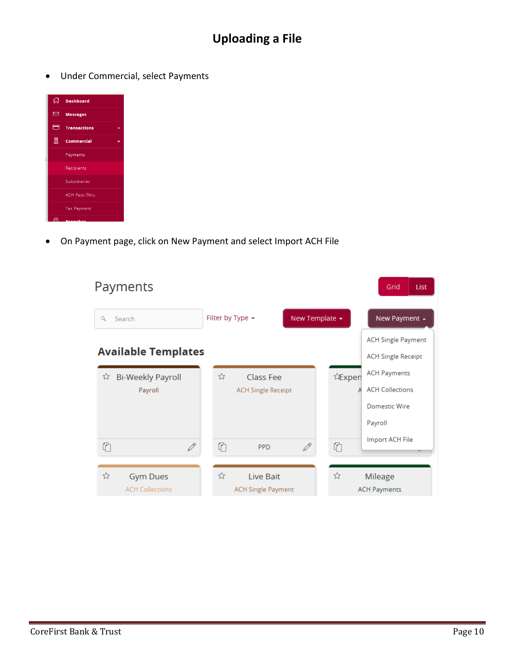Under Commercial, select Payments

| 깑                       | <b>Dashboard</b>     |  |
|-------------------------|----------------------|--|
| $\overline{\mathbb{Z}}$ | <b>Messages</b>      |  |
| $\blacksquare$          | <b>Transactions</b>  |  |
| 鳯                       | <b>Commercial</b>    |  |
|                         | Payments             |  |
|                         | Recipients           |  |
|                         | <b>Subsidiaries</b>  |  |
|                         | <b>ACH Pass-Thru</b> |  |
|                         | <b>Tax Payment</b>   |  |
| ര                       |                      |  |

On Payment page, click on New Payment and select Import ACH File

| Payments                      |                           |                | Grid<br><b>List</b>       |
|-------------------------------|---------------------------|----------------|---------------------------|
| Q<br>Search                   | Filter by Type -          | New Template - | New Payment +             |
|                               |                           |                | <b>ACH Single Payment</b> |
| <b>Available Templates</b>    |                           |                | <b>ACH Single Receipt</b> |
| <b>Bi-Weekly Payroll</b><br>☆ | ☆<br>Class Fee            | 让Expen         | <b>ACH Payments</b>       |
| Payroll                       | <b>ACH Single Receipt</b> |                | <b>ACH Collections</b>    |
|                               |                           |                | <b>Domestic Wire</b>      |
|                               |                           |                | Payroll                   |
| €<br>$\mathscr{O}$            | ⋔<br><b>PPD</b>           | P<br>⋔         | Import ACH File           |
|                               |                           |                |                           |
| ☆<br><b>Gym Dues</b>          | ☆<br>Live Bait            | ☆              | Mileage                   |
| <b>ACH Collections</b>        | <b>ACH Single Payment</b> |                | <b>ACH Payments</b>       |